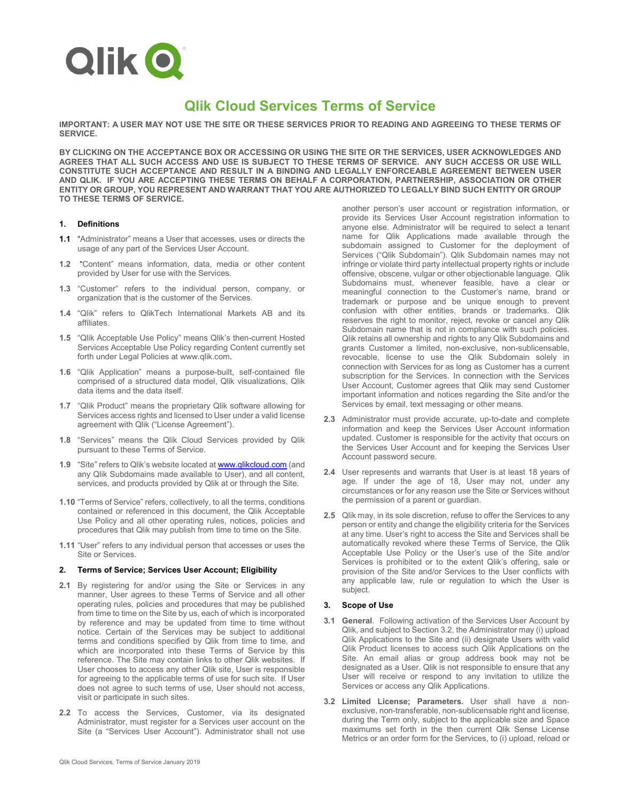

# **Qlik Cloud Services Terms of Service**

**IMPORTANT: A USER MAY NOT USE THE SITE OR THESE SERVICES PRIOR TO READING AND AGREEING TO THESE TERMS OF SERVICE.**

**BY CLICKING ON THE ACCEPTANCE BOX OR ACCESSING OR USING THE SITE OR THE SERVICES, USER ACKNOWLEDGES AND AGREES THAT ALL SUCH ACCESS AND USE IS SUBJECT TO THESE TERMS OF SERVICE. ANY SUCH ACCESS OR USE WILL CONSTITUTE SUCH ACCEPTANCE AND RESULT IN A BINDING AND LEGALLY ENFORCEABLE AGREEMENT BETWEEN USER AND QLIK. IF YOU ARE ACCEPTING THESE TERMS ON BEHALF A CORPORATION, PARTNERSHIP, ASSOCIATION OR OTHER ENTITY OR GROUP, YOU REPRESENT AND WARRANT THAT YOU ARE AUTHORIZED TO LEGALLY BIND SUCH ENTITY OR GROUP TO THESE TERMS OF SERVICE.**

#### **1. Definitions**

- **1.1** "Administrator" means a User that accesses, uses or directs the usage of any part of the Services User Account.
- **1.2** "Content" means information, data, media or other content provided by User for use with the Services.
- **1.3** "Customer" refers to the individual person, company, or organization that is the customer of the Services.
- **1.4** "Qlik" refers to QlikTech International Markets AB and its affiliates.
- **1.5** "Qlik Acceptable Use Policy" means Qlik's then-current Hosted Services Acceptable Use Policy regarding Content currently set forth under Legal Policies at www.qlik.com.
- **1.6** "Qlik Application" means a purpose-built, self-contained file comprised of a structured data model, Qlik visualizations, Qlik data items and the data itself.
- **1.7** "Qlik Product" means the proprietary Qlik software allowing for Services access rights and licensed to User under a valid license agreement with Qlik ("License Agreement").
- **1.8** "Services" means the Qlik Cloud Services provided by Qlik pursuant to these Terms of Service.
- **1.9** "Site" refers to Qlik's website located a[t www.qlikcloud.com](http://www.qlikcloud.com/) (and any Qlik Subdomains made available to User), and all content, services, and products provided by Qlik at or through the Site.
- **1.10** "Terms of Service" refers, collectively, to all the terms, conditions contained or referenced in this document, the Qlik Acceptable Use Policy and all other operating rules, notices, policies and procedures that Qlik may publish from time to time on the Site.
- **1.11** "User" refers to any individual person that accesses or uses the Site or Services.

#### **2. Terms of Service; Services User Account; Eligibility**

- **2.1** By registering for and/or using the Site or Services in any manner, User agrees to these Terms of Service and all other operating rules, policies and procedures that may be published from time to time on the Site by us, each of which is incorporated by reference and may be updated from time to time without notice. Certain of the Services may be subject to additional terms and conditions specified by Qlik from time to time, and which are incorporated into these Terms of Service by this reference. The Site may contain links to other Qlik websites. If User chooses to access any other Qlik site, User is responsible for agreeing to the applicable terms of use for such site. If User does not agree to such terms of use, User should not access, visit or participate in such sites.
- **2.2** To access the Services, Customer, via its designated Administrator, must register for a Services user account on the Site (a "Services User Account"). Administrator shall not use

another person's user account or registration information, or provide its Services User Account registration information to anyone else. Administrator will be required to select a tenant name for Qlik Applications made available through the subdomain assigned to Customer for the deployment of Services ("Qlik Subdomain"). Qlik Subdomain names may not infringe or violate third party intellectual property rights or include offensive, obscene, vulgar or other objectionable language. Qlik Subdomains must, whenever feasible, have a clear or meaningful connection to the Customer's name, brand or trademark or purpose and be unique enough to prevent confusion with other entities, brands or trademarks. Qlik reserves the right to monitor, reject, revoke or cancel any Qlik Subdomain name that is not in compliance with such policies. Qlik retains all ownership and rights to any Qlik Subdomains and grants Customer a limited, non-exclusive, non-sublicensable, revocable, license to use the Qlik Subdomain solely in connection with Services for as long as Customer has a current subscription for the Services. In connection with the Services User Account, Customer agrees that Qlik may send Customer important information and notices regarding the Site and/or the Services by email, text messaging or other means.

- **2.3** Administrator must provide accurate, up-to-date and complete information and keep the Services User Account information updated. Customer is responsible for the activity that occurs on the Services User Account and for keeping the Services User Account password secure.
- **2.4** User represents and warrants that User is at least 18 years of age. If under the age of 18, User may not, under any circumstances or for any reason use the Site or Services without the permission of a parent or guardian.
- **2.5** Qlik may, in its sole discretion, refuse to offer the Services to any person or entity and change the eligibility criteria for the Services at any time. User's right to access the Site and Services shall be automatically revoked where these Terms of Service, the Qlik Acceptable Use Policy or the User's use of the Site and/or Services is prohibited or to the extent Qlik's offering, sale or provision of the Site and/or Services to the User conflicts with any applicable law, rule or regulation to which the User is subject.

#### **3. Scope of Use**

- **3.1 General**. Following activation of the Services User Account by Qlik, and subject to Section 3.2, the Administrator may (i) upload Qlik Applications to the Site and (ii) designate Users with valid Qlik Product licenses to access such Qlik Applications on the Site. An email alias or group address book may not be designated as a User. Qlik is not responsible to ensure that any User will receive or respond to any invitation to utilize the Services or access any Qlik Applications.
- **3.2 Limited License; Parameters.** User shall have a nonexclusive, non-transferable, non-sublicensable right and license, during the Term only, subject to the applicable size and Space maximums set forth in the then current Qlik Sense License Metrics or an order form for the Services, to (i) upload, reload or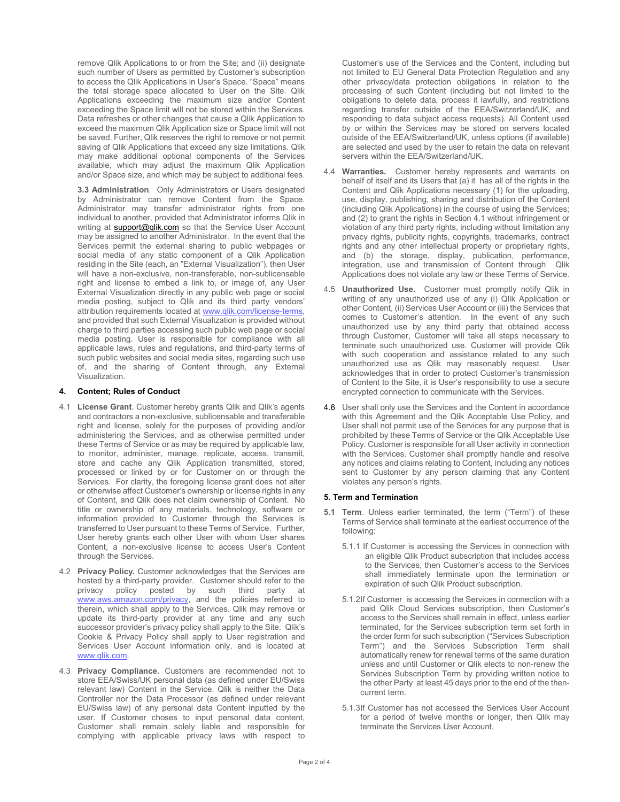remove Qlik Applications to or from the Site; and (ii) designate such number of Users as permitted by Customer's subscription to access the Qlik Applications in User's Space. "Space" means the total storage space allocated to User on the Site. Qlik Applications exceeding the maximum size and/or Content exceeding the Space limit will not be stored within the Services. Data refreshes or other changes that cause a Qlik Application to exceed the maximum Qlik Application size or Space limit will not be saved. Further, Qlik reserves the right to remove or not permit saving of Qlik Applications that exceed any size limitations. Qlik may make additional optional components of the Services available, which may adjust the maximum Qlik Application and/or Space size, and which may be subject to additional fees.

**3.3 Administration**. Only Administrators or Users designated by Administrator can remove Content from the Space. Administrator may transfer administrator rights from one individual to another, provided that Administrator informs Qlik in writing at [support@qlik.com](mailto:support@qlik.com) so that the Service User Account may be assigned to another Administrator. In the event that the Services permit the external sharing to public webpages or social media of any static component of a Qlik Application residing in the Site (each, an "External Visualization"), then User will have a non-exclusive, non-transferable, non-sublicensable right and license to embed a link to, or image of, any User External Visualization directly in any public web page or social media posting, subject to Qlik and its third party vendors' attribution requirements located at [www.qlik.com/license-terms,](http://www.qlik.com/license-terms) and provided that such External Visualization is provided without charge to third parties accessing such public web page or social media posting. User is responsible for compliance with all applicable laws, rules and regulations, and third-party terms of such public websites and social media sites, regarding such use of, and the sharing of Content through, any External Visualization.

#### **4. Content; Rules of Conduct**

- 4.1 **License Grant**. Customer hereby grants Qlik and Qlik's agents and contractors a non-exclusive, sublicensable and transferable right and license, solely for the purposes of providing and/or administering the Services, and as otherwise permitted under these Terms of Service or as may be required by applicable law, to monitor, administer, manage, replicate, access, transmit, store and cache any Qlik Application transmitted, stored, processed or linked by or for Customer on or through the Services. For clarity, the foregoing license grant does not alter or otherwise affect Customer's ownership or license rights in any of Content, and Qlik does not claim ownership of Content. No title or ownership of any materials, technology, software or information provided to Customer through the Services is transferred to User pursuant to these Terms of Service. Further, User hereby grants each other User with whom User shares Content, a non-exclusive license to access User's Content through the Services.
- 4.2 **Privacy Policy.** Customer acknowledges that the Services are hosted by a third-party provider. Customer should refer to the privacy policy posted by such third party at [www.aws.amazon.com/privacy,](http://www.aws.amazon.com/privacy) and the policies referred to therein, which shall apply to the Services. Qlik may remove or update its third-party provider at any time and any such successor provider's privacy policy shall apply to the Site. Qlik's Cookie & Privacy Policy shall apply to User registration and Services User Account information only, and is located at [www.qlik.com.](http://www.qlik.com/)
- 4.3 **Privacy Compliance.** Customers are recommended not to store EEA/Swiss/UK personal data (as defined under EU/Swiss relevant law) Content in the Service. Qlik is neither the Data Controller nor the Data Processor (as defined under relevant EU/Swiss law) of any personal data Content inputted by the user. If Customer choses to input personal data content, Customer shall remain solely liable and responsible for complying with applicable privacy laws with respect to

Customer's use of the Services and the Content, including but not limited to EU General Data Protection Regulation and any other privacy/data protection obligations in relation to the processing of such Content (including but not limited to the obligations to delete data, process it lawfully, and restrictions regarding transfer outside of the EEA/Switzerland/UK, and responding to data subject access requests). All Content used by or within the Services may be stored on servers located outside of the EEA/Switzerland/UK, unless options (if available) are selected and used by the user to retain the data on relevant servers within the EEA/Switzerland/UK.

- 4.4 **Warranties.** Customer hereby represents and warrants on behalf of itself and its Users that (a) it has all of the rights in the Content and Qlik Applications necessary (1) for the uploading, use, display, publishing, sharing and distribution of the Content (including Qlik Applications) in the course of using the Services; and (2) to grant the rights in Section 4.1 without infringement or violation of any third party rights, including without limitation any privacy rights, publicity rights, copyrights, trademarks, contract rights and any other intellectual property or proprietary rights, and (b) the storage, display, publication, performance, integration, use and transmission of Content through Qlik Applications does not violate any law or these Terms of Service.
- 4.5 **Unauthorized Use.** Customer must promptly notify Qlik in writing of any unauthorized use of any (i) Qlik Application or other Content, (ii) Services User Account or (iii) the Services that comes to Customer's attention. In the event of any such unauthorized use by any third party that obtained access through Customer, Customer will take all steps necessary to terminate such unauthorized use. Customer will provide Qlik with such cooperation and assistance related to any such unauthorized use as Olik may reasonably request. User unauthorized use as Qlik may reasonably request. acknowledges that in order to protect Customer's transmission of Content to the Site, it is User's responsibility to use a secure encrypted connection to communicate with the Services.
- 4.6 User shall only use the Services and the Content in accordance with this Agreement and the Qlik Acceptable Use Policy, and User shall not permit use of the Services for any purpose that is prohibited by these Terms of Service or the Qlik Acceptable Use Policy. Customer is responsible for all User activity in connection with the Services. Customer shall promptly handle and resolve any notices and claims relating to Content, including any notices sent to Customer by any person claiming that any Content violates any person's rights.

#### **5. Term and Termination**

- **5.1 Term**. Unless earlier terminated, the term ("Term") of these Terms of Service shall terminate at the earliest occurrence of the following:
	- 5.1.1 If Customer is accessing the Services in connection with an eligible Qlik Product subscription that includes access to the Services, then Customer's access to the Services shall immediately terminate upon the termination or expiration of such Qlik Product subscription.
	- 5.1.2If Customer is accessing the Services in connection with a paid Qlik Cloud Services subscription, then Customer's access to the Services shall remain in effect, unless earlier terminated, for the Services subscription term set forth in the order form for such subscription ("Services Subscription Term") and the Services Subscription Term shall automatically renew for renewal terms of the same duration unless and until Customer or Qlik elects to non-renew the Services Subscription Term by providing written notice to the other Party at least 45 days prior to the end of the thencurrent term.
	- 5.1.3If Customer has not accessed the Services User Account for a period of twelve months or longer, then Qlik may terminate the Services User Account.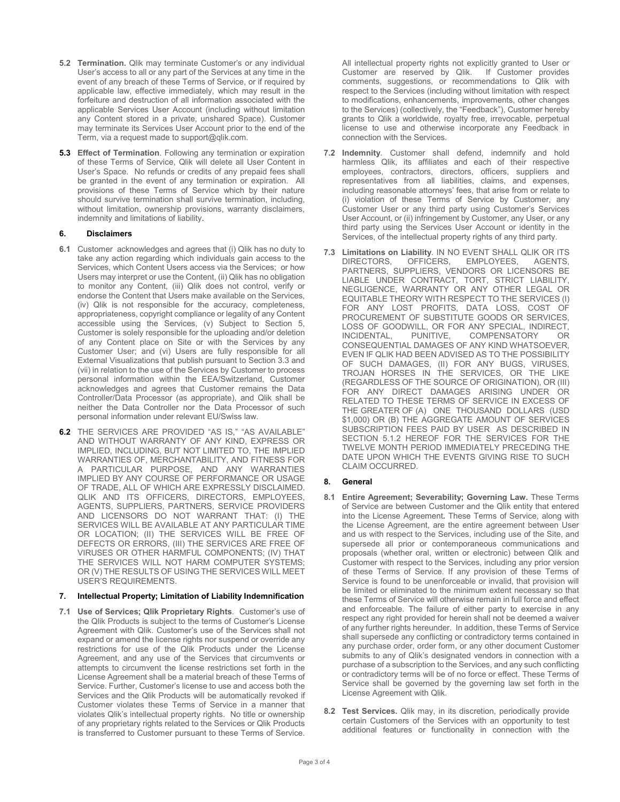- **5.2 Termination.** Qlik may terminate Customer's or any individual User's access to all or any part of the Services at any time in the event of any breach of these Terms of Service, or if required by applicable law, effective immediately, which may result in the forfeiture and destruction of all information associated with the applicable Services User Account (including without limitation any Content stored in a private, unshared Space). Customer may terminate its Services User Account prior to the end of the Term, via a request made to support@qlik.com.
- **5.3 Effect of Termination**. Following any termination or expiration of these Terms of Service, Qlik will delete all User Content in User's Space. No refunds or credits of any prepaid fees shall be granted in the event of any termination or expiration. All provisions of these Terms of Service which by their nature should survive termination shall survive termination, including, without limitation, ownership provisions, warranty disclaimers, indemnity and limitations of liability.

#### **6. Disclaimers**

- **6.1** Customer acknowledges and agrees that (i) Qlik has no duty to take any action regarding which individuals gain access to the Services, which Content Users access via the Services; or how Users may interpret or use the Content, (ii) Qlik has no obligation to monitor any Content, (iii) Qlik does not control, verify or endorse the Content that Users make available on the Services, (iv) Qlik is not responsible for the accuracy, completeness, appropriateness, copyright compliance or legality of any Content accessible using the Services, (v) Subject to Section 5, Customer is solely responsible for the uploading and/or deletion of any Content place on Site or with the Services by any Customer User; and (vi) Users are fully responsible for all External Visualizations that publish pursuant to Section 3.3 and (vii) in relation to the use of the Services by Customer to process personal information within the EEA/Switzerland, Customer acknowledges and agrees that Customer remains the Data Controller/Data Processor (as appropriate), and Qlik shall be neither the Data Controller nor the Data Processor of such personal information under relevant EU/Swiss law.
- **6.2** THE SERVICES ARE PROVIDED "AS IS," "AS AVAILABLE" AND WITHOUT WARRANTY OF ANY KIND, EXPRESS OR IMPLIED, INCLUDING, BUT NOT LIMITED TO, THE IMPLIED WARRANTIES OF, MERCHANTABILITY, AND FITNESS FOR A PARTICULAR PURPOSE, AND ANY WARRANTIES IMPLIED BY ANY COURSE OF PERFORMANCE OR USAGE OF TRADE, ALL OF WHICH ARE EXPRESSLY DISCLAIMED. QLIK AND ITS OFFICERS, DIRECTORS, EMPLOYEES, AGENTS, SUPPLIERS, PARTNERS, SERVICE PROVIDERS AND LICENSORS DO NOT WARRANT THAT: (I) THE SERVICES WILL BE AVAILABLE AT ANY PARTICULAR TIME OR LOCATION; (II) THE SERVICES WILL BE FREE OF DEFECTS OR ERRORS, (III) THE SERVICES ARE FREE OF VIRUSES OR OTHER HARMFUL COMPONENTS; (IV) THAT THE SERVICES WILL NOT HARM COMPUTER SYSTEMS; OR (V) THE RESULTS OF USING THE SERVICES WILL MEET USER'S REQUIREMENTS.

# **7. Intellectual Property; Limitation of Liability Indemnification**

**7.1 Use of Services; Qlik Proprietary Rights**. Customer's use of the Qlik Products is subject to the terms of Customer's License Agreement with Qlik. Customer's use of the Services shall not expand or amend the license rights nor suspend or override any restrictions for use of the Qlik Products under the License Agreement, and any use of the Services that circumvents or attempts to circumvent the license restrictions set forth in the License Agreement shall be a material breach of these Terms of Service. Further, Customer's license to use and access both the Services and the Qlik Products will be automatically revoked if Customer violates these Terms of Service in a manner that violates Qlik's intellectual property rights. No title or ownership of any proprietary rights related to the Services or Qlik Products is transferred to Customer pursuant to these Terms of Service.

All intellectual property rights not explicitly granted to User or Customer are reserved by Qlik. If Customer provides comments, suggestions, or recommendations to Qlik with respect to the Services (including without limitation with respect to modifications, enhancements, improvements, other changes to the Services) (collectively, the "Feedback"), Customer hereby grants to Qlik a worldwide, royalty free, irrevocable, perpetual license to use and otherwise incorporate any Feedback in connection with the Services.

- **7.2 Indemnity**. Customer shall defend, indemnify and hold harmless Qlik, its affiliates and each of their respective employees, contractors, directors, officers, suppliers and representatives from all liabilities, claims, and expenses, including reasonable attorneys' fees, that arise from or relate to (i) violation of these Terms of Service by Customer, any Customer User or any third party using Customer's Services User Account, or (ii) infringement by Customer, any User, or any third party using the Services User Account or identity in the Services, of the intellectual property rights of any third party.
- **7.3 Limitations on Liability**. IN NO EVENT SHALL QLIK OR ITS EMPLOYEES, PARTNERS, SUPPLIERS, VENDORS OR LICENSORS BE LIABLE UNDER CONTRACT, TORT, STRICT LIABILITY, NEGLIGENCE, WARRANTY OR ANY OTHER LEGAL OR EQUITABLE THEORY WITH RESPECT TO THE SERVICES (I) FOR ANY LOST PROFITS, DATA LOSS, COST OF PROCUREMENT OF SUBSTITUTE GOODS OR SERVICES, LOSS OF GOODWILL, OR FOR ANY SPECIAL, INDIRECT,<br>INCIDENTAL, PUNITIVE, COMPENSATORY OR INCIDENTAL, PUNITIVE, COMPENSATORY OR CONSEQUENTIAL DAMAGES OF ANY KIND WHATSOEVER, EVEN IF QLIK HAD BEEN ADVISED AS TO THE POSSIBILITY OF SUCH DAMAGES, (II) FOR ANY BUGS, VIRUSES, TROJAN HORSES IN THE SERVICES, OR THE LIKE (REGARDLESS OF THE SOURCE OF ORIGINATION), OR (III) FOR ANY DIRECT DAMAGES ARISING UNDER OR RELATED TO THESE TERMS OF SERVICE IN EXCESS OF THE GREATER OF (A) ONE THOUSAND DOLLARS (USD \$1,000) OR (B) THE AGGREGATE AMOUNT OF SERVICES SUBSCRIPTION FEES PAID BY USER AS DESCRIBED IN SECTION 5.1.2 HEREOF FOR THE SERVICES FOR THE TWELVE MONTH PERIOD IMMEDIATELY PRECEDING THE DATE UPON WHICH THE EVENTS GIVING RISE TO SUCH CLAIM OCCURRED.

# **8. General**

- **8.1 Entire Agreement; Severability; Governing Law.** These Terms of Service are between Customer and the Qlik entity that entered into the License Agreement**.** These Terms of Service, along with the License Agreement, are the entire agreement between User and us with respect to the Services, including use of the Site, and supersede all prior or contemporaneous communications and proposals (whether oral, written or electronic) between Qlik and Customer with respect to the Services, including any prior version of these Terms of Service. If any provision of these Terms of Service is found to be unenforceable or invalid, that provision will be limited or eliminated to the minimum extent necessary so that these Terms of Service will otherwise remain in full force and effect and enforceable. The failure of either party to exercise in any respect any right provided for herein shall not be deemed a waiver of any further rights hereunder. In addition, these Terms of Service shall supersede any conflicting or contradictory terms contained in any purchase order, order form, or any other document Customer submits to any of Qlik's designated vendors in connection with a purchase of a subscription to the Services, and any such conflicting or contradictory terms will be of no force or effect. These Terms of Service shall be governed by the governing law set forth in the License Agreement with Qlik.
- **8.2 Test Services.** Qlik may, in its discretion, periodically provide certain Customers of the Services with an opportunity to test additional features or functionality in connection with the